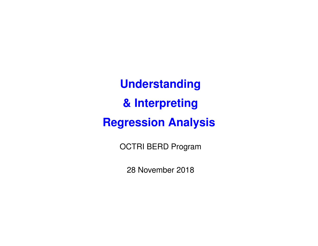**Understanding & Interpreting Regression Analysis**

OCTRI BERD Program

28 November 2018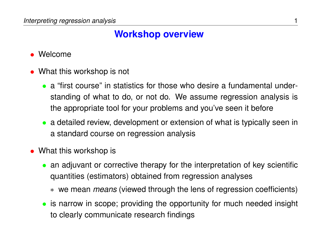### **Workshop overview**

- Welcome
- What this workshop is not
	- a "first course" in statistics for those who desire a fundamental understanding of what to do, or not do. We assume regression analysis is the appropriate tool for your problems and you've seen it before
	- a detailed review, development or extension of what is typically seen in a standard course on regression analysis
- What this workshop is
	- an adjuvant or corrective therapy for the interpretation of key scientific quantities (estimators) obtained from regression analyses
		- ∗ we mean *means* (viewed through the lens of regression coefficients)
	- is narrow in scope; providing the opportunity for much needed insight to clearly communicate research findings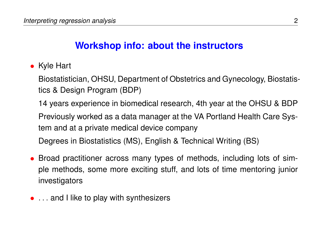### **Workshop info: about the instructors**

• Kyle Hart

Biostatistician, OHSU, Department of Obstetrics and Gynecology, Biostatistics & Design Program (BDP)

14 years experience in biomedical research, 4th year at the OHSU & BDP

Previously worked as a data manager at the VA Portland Health Care System and at a private medical device company

Degrees in Biostatistics (MS), English & Technical Writing (BS)

- Broad practitioner across many types of methods, including lots of simple methods, some more exciting stuff, and lots of time mentoring junior investigators
- ... and I like to play with synthesizers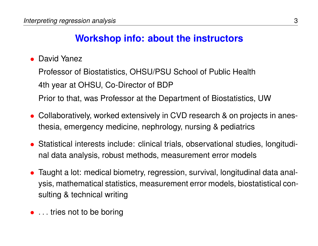# **Workshop info: about the instructors**

• David Yanez

Professor of Biostatistics, OHSU/PSU School of Public Health 4th year at OHSU, Co-Director of BDP Prior to that, was Professor at the Department of Biostatistics, UW

- Collaboratively, worked extensively in CVD research & on projects in anesthesia, emergency medicine, nephrology, nursing & pediatrics
- Statistical interests include: clinical trials, observational studies, longitudinal data analysis, robust methods, measurement error models
- Taught a lot: medical biometry, regression, survival, longitudinal data analysis, mathematical statistics, measurement error models, biostatistical consulting & technical writing
- . . . tries not to be boring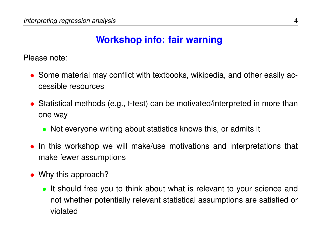### **Workshop info: fair warning**

Please note:

- Some material may conflict with textbooks, wikipedia, and other easily accessible resources
- Statistical methods (e.g., t-test) can be motivated/interpreted in more than one way
	- Not everyone writing about statistics knows this, or admits it
- In this workshop we will make/use motivations and interpretations that make fewer assumptions
- Why this approach?
	- It should free you to think about what is relevant to your science and not whether potentially relevant statistical assumptions are satisfied or violated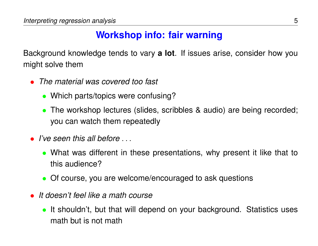### **Workshop info: fair warning**

Background knowledge tends to vary **a lot**. If issues arise, consider how you might solve them

- *The material was covered too fast*
	- Which parts/topics were confusing?
	- The workshop lectures (slides, scribbles & audio) are being recorded; you can watch them repeatedly
- *I've seen this all before* . . .
	- What was different in these presentations, why present it like that to this audience?
	- Of course, you are welcome/encouraged to ask questions
- *It doesn't feel like a math course*
	- It shouldn't, but that will depend on your background. Statistics uses math but is not math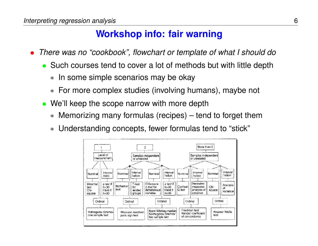### **Workshop info: fair warning**

- *There was no "cookbook", flowchart or template of what I should do*
	- Such courses tend to cover a lot of methods but with little depth
		- ∗ In some simple scenarios may be okay
		- ∗ For more complex studies (involving humans), maybe not
	- We'll keep the scope narrow with more depth
		- ∗ Memorizing many formulas (recipes) tend to forget them
		- ∗ Understanding concepts, fewer formulas tend to "stick"

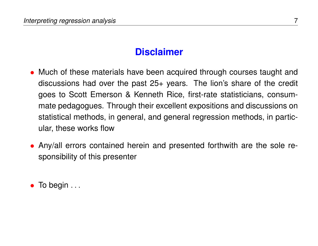#### **Disclaimer**

- Much of these materials have been acquired through courses taught and discussions had over the past 25+ years. The lion's share of the credit goes to Scott Emerson & Kenneth Rice, first-rate statisticians, consummate pedagogues. Through their excellent expositions and discussions on statistical methods, in general, and general regression methods, in particular, these works flow
- Any/all errors contained herein and presented forthwith are the sole responsibility of this presenter

 $\bullet$  To begin  $\dots$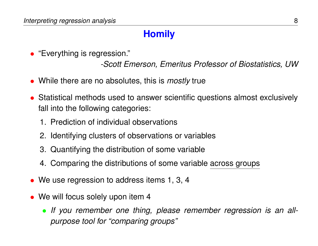### **Homily**

• "Everything is regression."

*-Scott Emerson, Emeritus Professor of Biostatistics, UW*

- While there are no absolutes, this is *mostly* true
- Statistical methods used to answer scientific questions almost exclusively fall into the following categories:
	- 1. Prediction of individual observations
	- 2. Identifying clusters of observations or variables
	- 3. Quantifying the distribution of some variable
	- 4. Comparing the distributions of some variable across groups
- We use regression to address items 1, 3, 4
- We will focus solely upon item 4
	- *If you remember one thing, please remember regression is an allpurpose tool for "comparing groups"*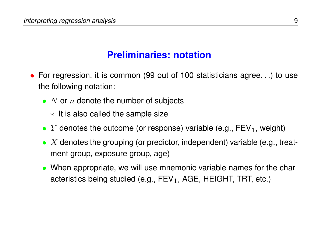### **Preliminaries: notation**

- For regression, it is common (99 out of 100 statisticians agree. . .) to use the following notation:
	- N or n denote the number of subjects
		- ∗ It is also called the sample size
	- Y denotes the outcome (or response) variable (e.g.,  $FEV<sub>1</sub>$ , weight)
	- $X$  denotes the grouping (or predictor, independent) variable (e.g., treatment group, exposure group, age)
	- When appropriate, we will use mnemonic variable names for the characteristics being studied (e.g.,  $FEV_1$ , AGE, HEIGHT, TRT, etc.)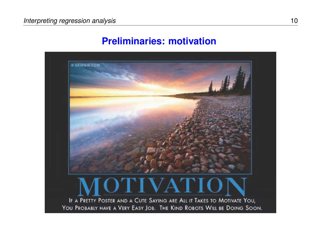#### **Preliminaries: motivation**

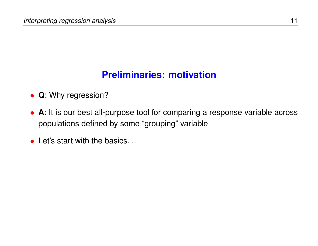## **Preliminaries: motivation**

- **Q**: Why regression?
- **A**: It is our best all-purpose tool for comparing a response variable across populations defined by some "grouping" variable
- Let's start with the basics...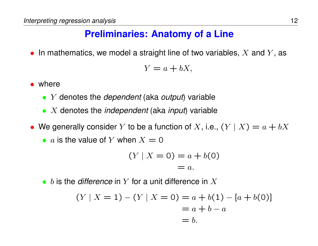### **Preliminaries: Anatomy of a Line**

• In mathematics, we model a straight line of two variables,  $X$  and  $Y$ , as

$$
Y = a + bX,
$$

- where
	- Y denotes the *dependent* (aka *output*) variable
	- X denotes the *independent* (aka *input*) variable
- We generally consider Y to be a function of X, i.e.,  $(Y | X) = a + bX$ 
	- a is the value of Y when  $X = 0$

$$
(Y | X = 0) = a + b(0) = a.
$$

• b is the *difference* in Y for a unit difference in X

$$
(Y | X = 1) - (Y | X = 0) = a + b(1) - [a + b(0)]
$$
  
= a + b - a  
= b.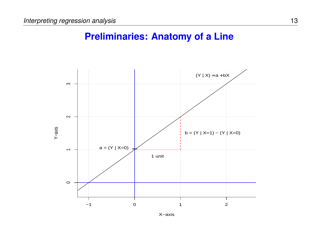#### **Preliminaries: Anatomy of a Line**



X−axis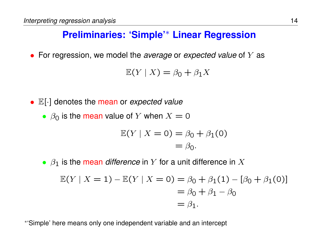### **Preliminaries: 'Simple'**<sup>∗</sup> **Linear Regression**

• For regression, we model the *average* or *expected value* of Y as

$$
\mathbb{E}(Y \mid X) = \beta_0 + \beta_1 X
$$

- E[·] denotes the mean or *expected value*
	- $\beta_0$  is the mean value of Y when  $X = 0$

$$
\mathbb{E}(Y \mid X = 0) = \beta_0 + \beta_1(0)
$$

$$
= \beta_0.
$$

•  $\beta_1$  is the mean *difference* in Y for a unit difference in X

$$
\mathbb{E}(Y \mid X = 1) - \mathbb{E}(Y \mid X = 0) = \beta_0 + \beta_1(1) - [\beta_0 + \beta_1(0)]
$$
  
=  $\beta_0 + \beta_1 - \beta_0$   
=  $\beta_1$ .

∗ 'Simple' here means only one independent variable and an intercept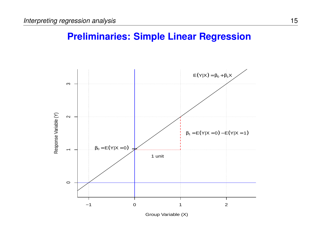



Group Variable (X)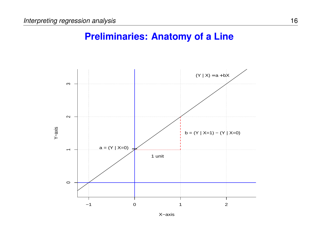#### **Preliminaries: Anatomy of a Line**



X−axis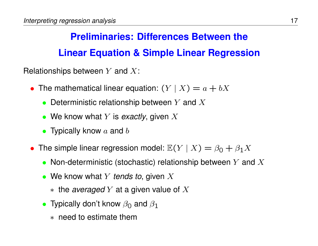# **Preliminaries: Differences Between the Linear Equation & Simple Linear Regression**

Relationships between  $Y$  and  $X$ :

- The mathematical linear equation:  $(Y | X) = a + bX$ 
	- Deterministic relationship between  $Y$  and  $X$
	- We know what Y is *exactly*, given X
	- Typically know  $a$  and  $b$
- The simple linear regression model:  $\mathbb{E}(Y | X) = \beta_0 + \beta_1 X$ 
	- Non-deterministic (stochastic) relationship between Y and  $X$
	- We know what Y *tends to*, given X
		- ∗ the *averaged* Y at a given value of X
	- Typically don't know  $\beta_0$  and  $\beta_1$ 
		- ∗ need to estimate them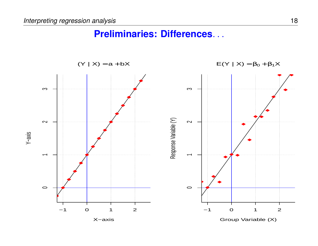#### **Preliminaries: Differences**. . .

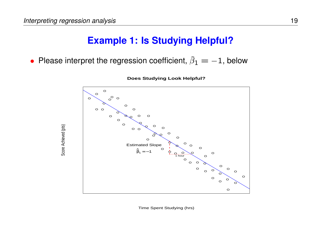Score Achieved (pts)

Score Achieved (pts)

### **Example 1: Is Studying Helpful?**

• Please interpret the regression coefficient,  $\widehat{\beta}_1 = -1$ , below



**Does Studying Look Helpful?**

Time Spent Studying (hrs)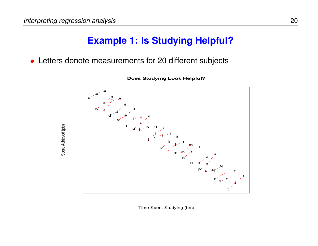Score Achieved (pts)

Score Achieved (pts)

### **Example 1: Is Studying Helpful?**

• Letters denote measurements for 20 different subjects



**Does Studying Look Helpful?**

Time Spent Studying (hrs)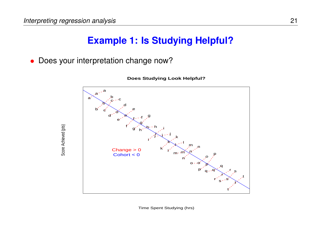Score Achieved (pts)

Score Achieved (pts)

### **Example 1: Is Studying Helpful?**

• Does your interpretation change now?



**Does Studying Look Helpful?**

Time Spent Studying (hrs)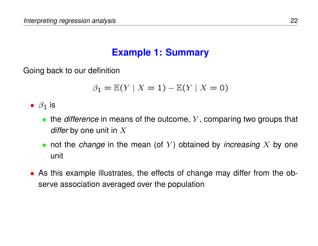### **Example 1: Summary**

Going back to our definition

$$
\beta_1 = \mathbb{E}(Y \mid X = 1) - \mathbb{E}(Y \mid X = 0)
$$

•  $\beta_1$  is

- the *difference* in means of the outcome, Y, comparing two groups that *differ* by one unit in X
- not the *change* in the mean (of Y) obtained by *increasing* X by one unit
- As this example illustrates, the effects of change may differ from the observe association averaged over the population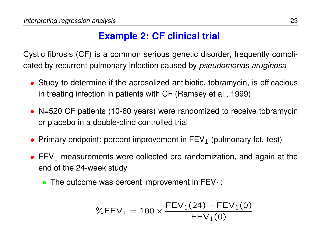Cystic fibrosis (CF) is a common serious genetic disorder, frequently complicated by recurrent pulmonary infection caused by *pseudomonas aruginosa*

- Study to determine if the aerosolized antibiotic, tobramycin, is efficacious in treating infection in patients with CF (Ramsey et al., 1999)
- N=520 CF patients (10-60 years) were randomized to receive tobramycin or placebo in a double-blind controlled trial
- Primary endpoint: percent improvement in  $FEV<sub>1</sub>$  (pulmonary fct. test)
- FEV<sub>1</sub> measurements were collected pre-randomization, and again at the end of the 24-week study
	- The outcome was percent improvement in  $FEV<sub>1</sub>$ :

$$
\%FEV_1 = 100 \times \frac{FEV_1(24) - FEV_1(0)}{FEV_1(0)}
$$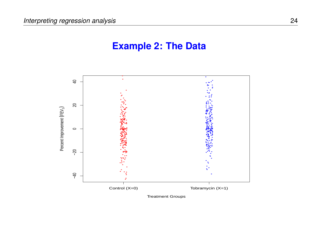#### **Example 2: The Data**

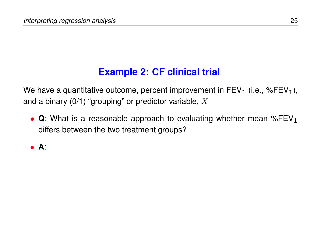We have a quantitative outcome, percent improvement in  $FEV<sub>1</sub>$  (i.e., %FEV<sub>1</sub>), and a binary  $(0/1)$  "grouping" or predictor variable, X

•  $\Omega$ : What is a reasonable approach to evaluating whether mean %FEV<sub>1</sub> differs between the two treatment groups?

• **A**: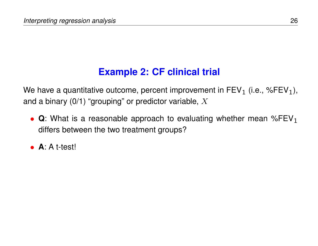We have a quantitative outcome, percent improvement in  $FEV<sub>1</sub>$  (i.e., %FEV<sub>1</sub>), and a binary  $(0/1)$  "grouping" or predictor variable, X

- $\Omega$ : What is a reasonable approach to evaluating whether mean %FEV<sub>1</sub> differs between the two treatment groups?
- **A**: A t-test!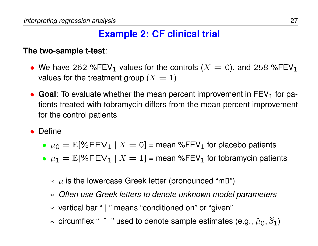#### **The two-sample t-test**:

- We have 262 %FEV<sub>1</sub> values for the controls ( $X = 0$ ), and 258 %FEV<sub>1</sub> values for the treatment group  $(X = 1)$
- **Goal**: To evaluate whether the mean percent improvement in  $FEV<sub>1</sub>$  for patients treated with tobramycin differs from the mean percent improvement for the control patients
- Define
	- $\mu_0 = \mathbb{E}[\%FEV_1 | X = 0]$  = mean %FEV<sub>1</sub> for placebo patients
	- $\mu_1 = \mathbb{E}[\%$ FEV<sub>1</sub> |  $X = 1$ ] = mean %FEV<sub>1</sub> for tobramycin patients
		- $*$   $\mu$  is the lowercase Greek letter (pronounced "mu")
		- ∗ *Often use Greek letters to denote unknown model parameters*
		- ∗ vertical bar " | " means "conditioned on" or "given"
		- ∗ circumflex "  $\hat{ }$  " used to denote sample estimates (e.g.,  $\hat{\mu}_0$ ,  $\hat{\beta}_1$ )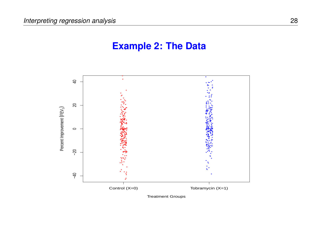#### **Example 2: The Data**

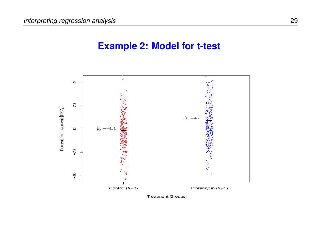#### **Example 2: Model for t-test**

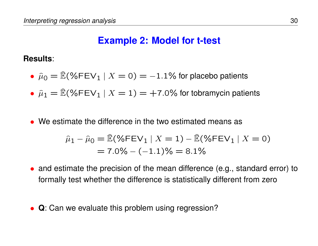### **Example 2: Model for t-test**

#### **Results**:

- $\hat{\mu}_0 = \hat{\mathbb{E}}(\% \text{FEV}_1 \mid X = 0) = -1.1\%$  for placebo patients
- $\hat{\mu}_1 = \hat{\mathbb{E}}(\% \text{FEV}_1 | X = 1) = +7.0\%$  for tobramycin patients
- We estimate the difference in the two estimated means as

$$
\hat{\mu}_1 - \hat{\mu}_0 = \hat{\mathbb{E}}(\% \text{FEV}_1 \mid X = 1) - \hat{\mathbb{E}}(\% \text{FEV}_1 \mid X = 0)
$$

$$
= 7.0\% - (-1.1)\% = 8.1\%
$$

- and estimate the precision of the mean difference (e.g., standard error) to formally test whether the difference is statistically different from zero
- **Q**: Can we evaluate this problem using regression?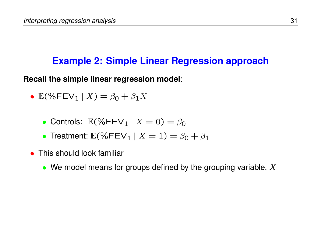### **Example 2: Simple Linear Regression approach**

**Recall the simple linear regression model**:

- $E(\mathcal{C}FEV_1 | X) = \beta_0 + \beta_1 X$ 
	- Controls:  $\mathbb{E}(\%$ FEV<sub>1</sub> |  $X = 0) = \beta_0$
	- Treatment:  $\mathbb{E}(\mathcal{K} FEV_1 \mid X = 1) = \beta_0 + \beta_1$
- This should look familiar
	- We model means for groups defined by the grouping variable,  $X$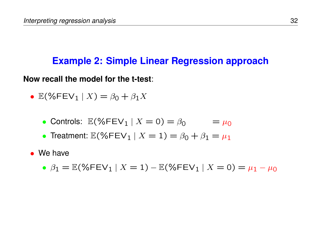### **Example 2: Simple Linear Regression approach**

**Now recall the model for the t-test**:

- $E(\mathcal{C}FEV_1 | X) = \beta_0 + \beta_1 X$ 
	- Controls:  $\mathbb{E}(\%$ FEV<sub>1</sub> |  $X = 0$ ) =  $\beta_0$  =  $\mu_0$
	- Treatment:  $\mathbb{E}(\% \text{FEV}_1 | X = 1) = \beta_0 + \beta_1 = \mu_1$
- We have
	- $\beta_1 = \mathbb{E}(\%$ FEV<sub>1</sub> |  $X = 1) \mathbb{E}(\%$ FEV<sub>1</sub> |  $X = 0) = \mu_1 \mu_0$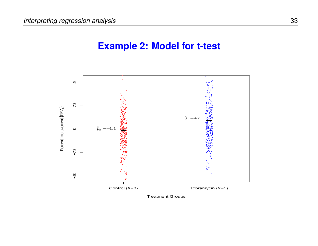#### **Example 2: Model for t-test**

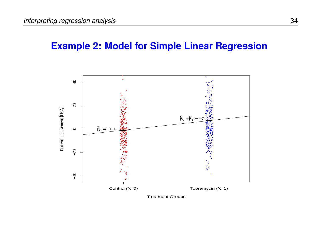#### **Example 2: Model for Simple Linear Regression**

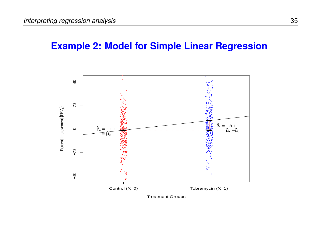#### **Example 2: Model for Simple Linear Regression**

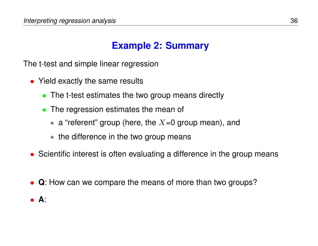# **Example 2: Summary**

The t-test and simple linear regression

- Yield exactly the same results
	- The t-test estimates the two group means directly
	- The regression estimates the mean of
		- $*$  a "referent" group (here, the  $X=0$  group mean), and
		- ∗ the difference in the two group means
- Scientific interest is often evaluating a difference in the group means
- **Q**: How can we compare the means of more than two groups?
- **A**: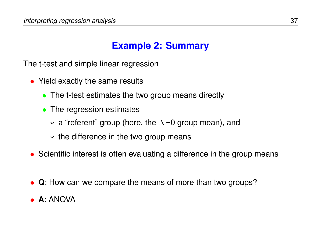# **Example 2: Summary**

The t-test and simple linear regression

- Yield exactly the same results
	- The t-test estimates the two group means directly
	- The regression estimates
		- $*$  a "referent" group (here, the  $X=0$  group mean), and
		- ∗ the difference in the two group means
- Scientific interest is often evaluating a difference in the group means
- **Q**: How can we compare the means of more than two groups?
- **A**: ANOVA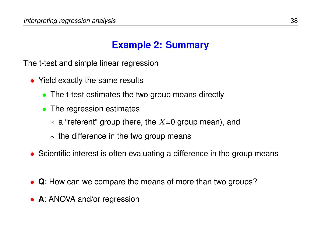# **Example 2: Summary**

The t-test and simple linear regression

- Yield exactly the same results
	- The t-test estimates the two group means directly
	- The regression estimates
		- $*$  a "referent" group (here, the  $X=0$  group mean), and
		- ∗ the difference in the two group means
- Scientific interest is often evaluating a difference in the group means
- **Q**: How can we compare the means of more than two groups?
- **A**: ANOVA and/or regression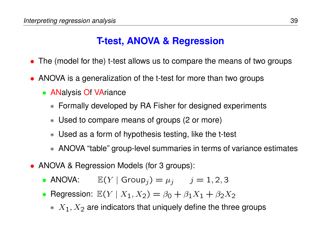### **T-test, ANOVA & Regression**

- The (model for the) t-test allows us to compare the means of two groups
- ANOVA is a generalization of the t-test for more than two groups
	- ANalysis Of VAriance
		- ∗ Formally developed by RA Fisher for designed experiments
		- ∗ Used to compare means of groups (2 or more)
		- ∗ Used as a form of hypothesis testing, like the t-test
		- ∗ ANOVA "table" group-level summaries in terms of variance estimates
- ANOVA & Regression Models (for 3 groups):
	- ANOVA:  $\mathbb{E}(Y | \text{Group}_j) = \mu_j$   $j = 1, 2, 3$
	- Regression:  $\mathbb{E}(Y | X_1, X_2) = \beta_0 + \beta_1 X_1 + \beta_2 X_2$ 
		- $*$   $X_1, X_2$  are indicators that uniquely define the three groups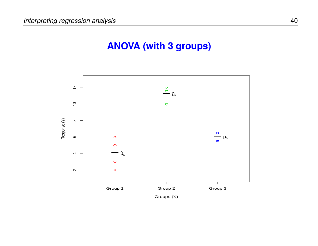# **ANOVA (with 3 groups)**

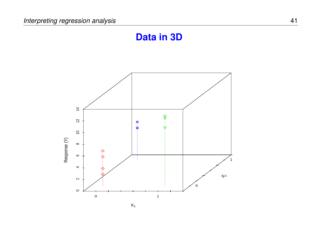# **Data in 3D**

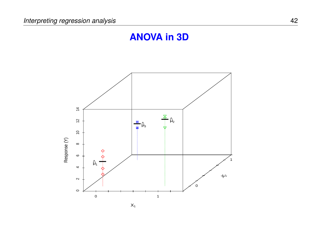# **ANOVA in 3D**

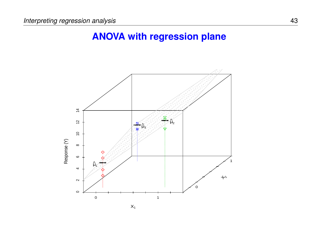### **ANOVA with regression plane**



 $X_1$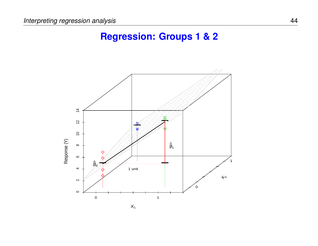# **Regression: Groups 1 & 2**

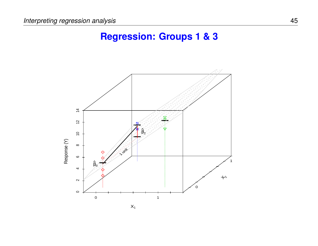# **Regression: Groups 1 & 3**

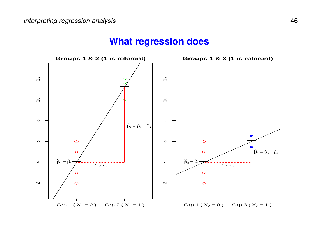

#### **What regression does**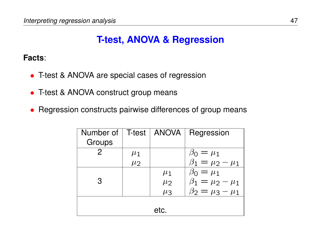# **T-test, ANOVA & Regression**

**Facts**:

- T-test & ANOVA are special cases of regression
- T-test & ANOVA construct group means
- Regression constructs pairwise differences of group means

| Number of    | T-test  | ANOVA   | Regression                |
|--------------|---------|---------|---------------------------|
| Groups       |         |         |                           |
| $\mathcal P$ | $\mu_1$ |         | $\beta_0 = \mu_1$         |
|              | $\mu$   |         | $\beta_1 = \mu_2 - \mu_1$ |
|              |         | $\mu_1$ | $\beta_0 = \mu_1$         |
| 3            |         | $\mu_2$ | $\beta_1 = \mu_2 - \mu_1$ |
|              |         | $\mu_3$ | $\beta_2 = \mu_3 - \mu_1$ |
|              |         |         |                           |
| etc.         |         |         |                           |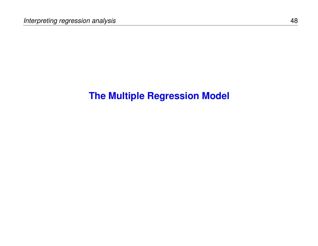# **The Multiple Regression Model**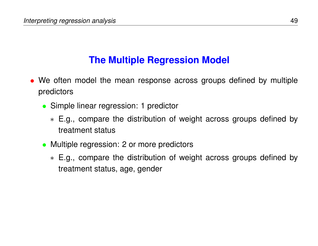### **The Multiple Regression Model**

- We often model the mean response across groups defined by multiple predictors
	- Simple linear regression: 1 predictor
		- ∗ E.g., compare the distribution of weight across groups defined by treatment status
	- Multiple regression: 2 or more predictors
		- ∗ E.g., compare the distribution of weight across groups defined by treatment status, age, gender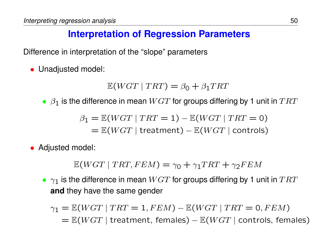# **Interpretation of Regression Parameters**

Difference in interpretation of the "slope" parameters

• Unadjusted model:

 $\mathbb{E}(WGT | TRT) = \beta_0 + \beta_1 TRT$ 

•  $\beta_1$  is the difference in mean  $WGT$  for groups differing by 1 unit in  $TRT$ 

$$
\beta_1 = \mathbb{E}(WGT | TRT = 1) - \mathbb{E}(WGT | TRT = 0)
$$

$$
= \mathbb{E}(WGT | \text{treatment}) - \mathbb{E}(WGT | \text{controls})
$$

• Adjusted model:

 $E(WGT | TRT, FEM) = \gamma_0 + \gamma_1 TRT + \gamma_2 FEM$ 

•  $\gamma_1$  is the difference in mean  $WGT$  for groups differing by 1 unit in  $TRT$ **and** they have the same gender

$$
\gamma_1 = \mathbb{E}(WGT \mid TRT = 1, FEM) - \mathbb{E}(WGT \mid TRT = 0, FEM)
$$
  
=  $\mathbb{E}(WGT \mid \text{treatment}, \text{ females}) - \mathbb{E}(WGT \mid \text{controls}, \text{ females})$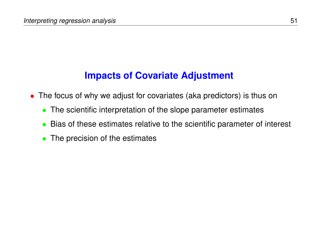### **Impacts of Covariate Adjustment**

- The focus of why we adjust for covariates (aka predictors) is thus on
	- The scientific interpretation of the slope parameter estimates
	- Bias of these estimates relative to the scientific parameter of interest
	- The precision of the estimates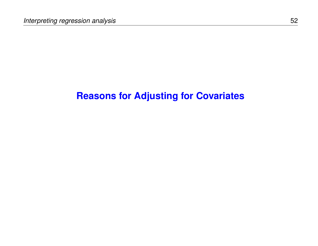### **Reasons for Adjusting for Covariates**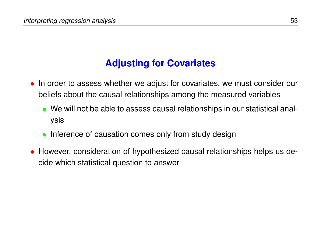# **Adjusting for Covariates**

- In order to assess whether we adjust for covariates, we must consider our beliefs about the causal relationships among the measured variables
	- We will not be able to assess causal relationships in our statistical analysis
	- Inference of causation comes only from study design
- However, consideration of hypothesized causal relationships helps us decide which statistical question to answer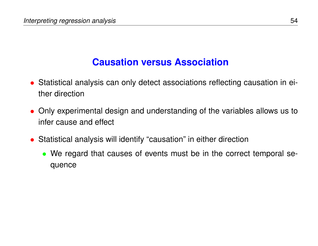- Statistical analysis can only detect associations reflecting causation in either direction
- Only experimental design and understanding of the variables allows us to infer cause and effect
- Statistical analysis will identify "causation" in either direction
	- We regard that causes of events must be in the correct temporal sequence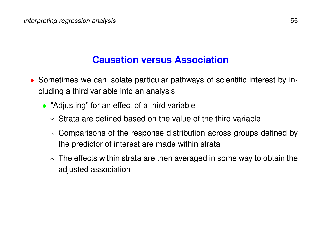- Sometimes we can isolate particular pathways of scientific interest by including a third variable into an analysis
	- "Adjusting" for an effect of a third variable
		- ∗ Strata are defined based on the value of the third variable
		- ∗ Comparisons of the response distribution across groups defined by the predictor of interest are made within strata
		- ∗ The effects within strata are then averaged in some way to obtain the adjusted association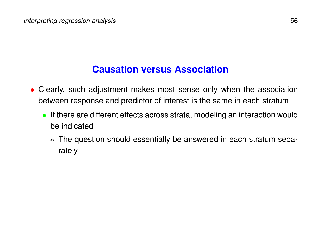- Clearly, such adjustment makes most sense only when the association between response and predictor of interest is the same in each stratum
	- If there are different effects across strata, modeling an interaction would be indicated
		- ∗ The question should essentially be answered in each stratum separately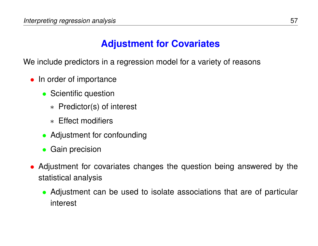### **Adjustment for Covariates**

We include predictors in a regression model for a variety of reasons

- In order of importance
	- Scientific question
		- ∗ Predictor(s) of interest
		- ∗ Effect modifiers
	- Adjustment for confounding
	- Gain precision
- Adjustment for covariates changes the question being answered by the statistical analysis
	- Adjustment can be used to isolate associations that are of particular interest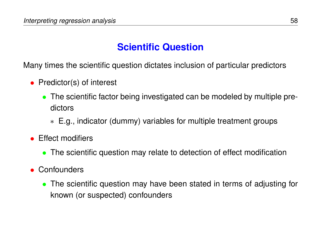# **Scientific Question**

Many times the scientific question dictates inclusion of particular predictors

- Predictor(s) of interest
	- The scientific factor being investigated can be modeled by multiple predictors
		- ∗ E.g., indicator (dummy) variables for multiple treatment groups
- Effect modifiers
	- The scientific question may relate to detection of effect modification
- Confounders
	- The scientific question may have been stated in terms of adjusting for known (or suspected) confounders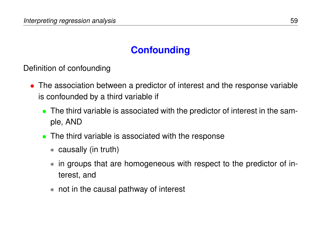Definition of confounding

- The association between a predictor of interest and the response variable is confounded by a third variable if
	- The third variable is associated with the predictor of interest in the sample, AND
	- The third variable is associated with the response
		- ∗ causally (in truth)
		- ∗ in groups that are homogeneous with respect to the predictor of interest, and
		- ∗ not in the causal pathway of interest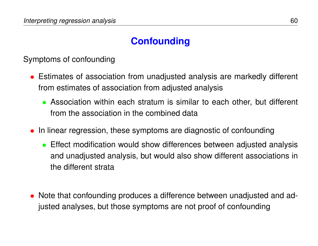Symptoms of confounding

- Estimates of association from unadjusted analysis are markedly different from estimates of association from adjusted analysis
	- Association within each stratum is similar to each other, but different from the association in the combined data
- In linear regression, these symptoms are diagnostic of confounding
	- Effect modification would show differences between adjusted analysis and unadjusted analysis, but would also show different associations in the different strata
- Note that confounding produces a difference between unadjusted and adjusted analyses, but those symptoms are not proof of confounding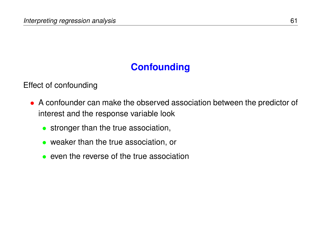#### Effect of confounding

- A confounder can make the observed association between the predictor of interest and the response variable look
	- stronger than the true association,
	- weaker than the true association, or
	- even the reverse of the true association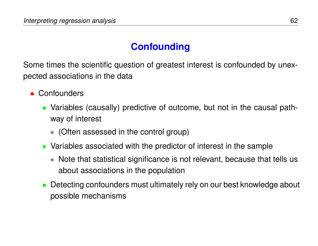Some times the scientific question of greatest interest is confounded by unexpected associations in the data

- Confounders
	- Variables (causally) predictive of outcome, but not in the causal pathway of interest
		- ∗ (Often assessed in the control group)
	- Variables associated with the predictor of interest in the sample
		- ∗ Note that statistical significance is not relevant, because that tells us about associations in the population
	- Detecting confounders must ultimately rely on our best knowledge about possible mechanisms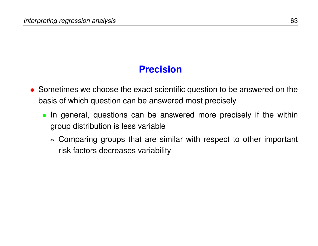# **Precision**

- Sometimes we choose the exact scientific question to be answered on the basis of which question can be answered most precisely
	- In general, questions can be answered more precisely if the within group distribution is less variable
		- ∗ Comparing groups that are similar with respect to other important risk factors decreases variability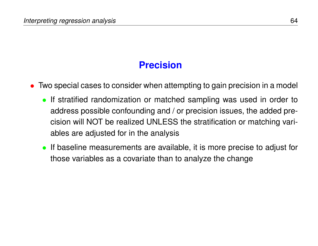# **Precision**

- Two special cases to consider when attempting to gain precision in a model
	- If stratified randomization or matched sampling was used in order to address possible confounding and / or precision issues, the added precision will NOT be realized UNLESS the stratification or matching variables are adjusted for in the analysis
	- If baseline measurements are available, it is more precise to adjust for those variables as a covariate than to analyze the change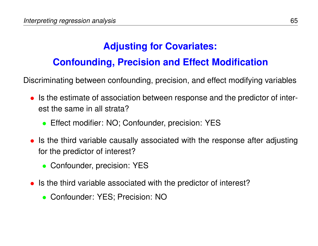# **Adjusting for Covariates:**

# **Confounding, Precision and Effect Modification**

Discriminating between confounding, precision, and effect modifying variables

- Is the estimate of association between response and the predictor of interest the same in all strata?
	- Effect modifier: NO; Confounder, precision: YES
- Is the third variable causally associated with the response after adjusting for the predictor of interest?
	- Confounder, precision: YES
- Is the third variable associated with the predictor of interest?
	- Confounder: YES; Precision: NO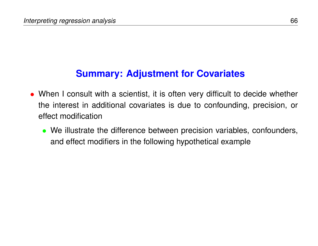### **Summary: Adjustment for Covariates**

- When I consult with a scientist, it is often very difficult to decide whether the interest in additional covariates is due to confounding, precision, or effect modification
	- We illustrate the difference between precision variables, confounders, and effect modifiers in the following hypothetical example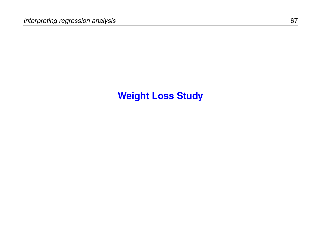# **Weight Loss Study**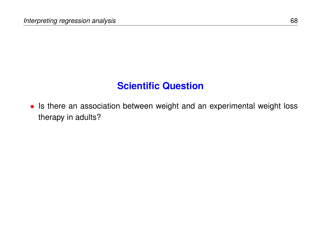# **Scientific Question**

• Is there an association between weight and an experimental weight loss therapy in adults?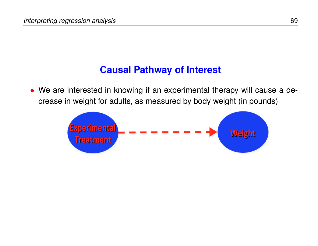### **Causal Pathway of Interest**

• We are interested in knowing if an experimental therapy will cause a decrease in weight for adults, as measured by body weight (in pounds)

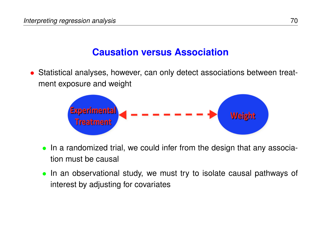• Statistical analyses, however, can only detect associations between treatment exposure and weight



- In a randomized trial, we could infer from the design that any association must be causal
- In an observational study, we must try to isolate causal pathways of interest by adjusting for covariates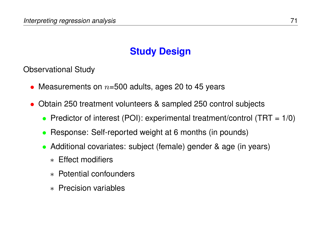# **Study Design**

Observational Study

- Measurements on  $n=500$  adults, ages 20 to 45 years
- Obtain 250 treatment volunteers & sampled 250 control subjects
	- Predictor of interest (POI): experimental treatment/control (TRT =  $1/0$ )
	- Response: Self-reported weight at 6 months (in pounds)
	- Additional covariates: subject (female) gender & age (in years)
		- ∗ Effect modifiers
		- ∗ Potential confounders
		- ∗ Precision variables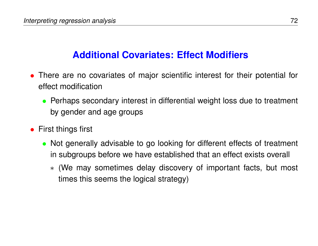## **Additional Covariates: Effect Modifiers**

- There are no covariates of major scientific interest for their potential for effect modification
	- Perhaps secondary interest in differential weight loss due to treatment by gender and age groups
- **•** First things first
	- Not generally advisable to go looking for different effects of treatment in subgroups before we have established that an effect exists overall
		- ∗ (We may sometimes delay discovery of important facts, but most times this seems the logical strategy)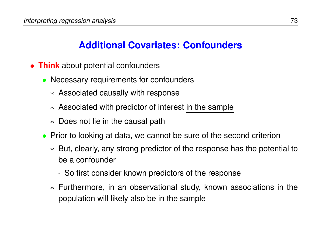## **Additional Covariates: Confounders**

- **Think** about potential confounders
	- Necessary requirements for confounders
		- ∗ Associated causally with response
		- ∗ Associated with predictor of interest in the sample
		- ∗ Does not lie in the causal path
	- Prior to looking at data, we cannot be sure of the second criterion
		- ∗ But, clearly, any strong predictor of the response has the potential to be a confounder
			- · So first consider known predictors of the response
		- ∗ Furthermore, in an observational study, known associations in the population will likely also be in the sample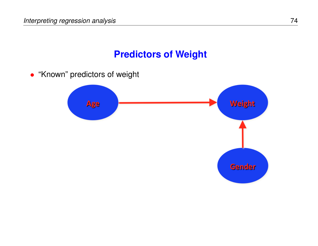## **Predictors of Weight**

• "Known" predictors of weight

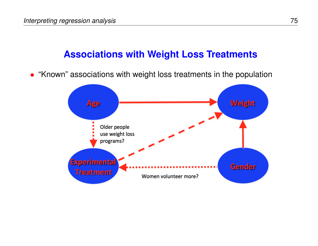## **Associations with Weight Loss Treatments**

• "Known" associations with weight loss treatments in the population

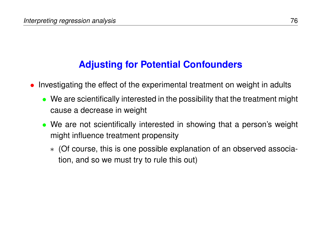# **Adjusting for Potential Confounders**

- Investigating the effect of the experimental treatment on weight in adults
	- We are scientifically interested in the possibility that the treatment might cause a decrease in weight
	- We are not scientifically interested in showing that a person's weight might influence treatment propensity
		- ∗ (Of course, this is one possible explanation of an observed association, and so we must try to rule this out)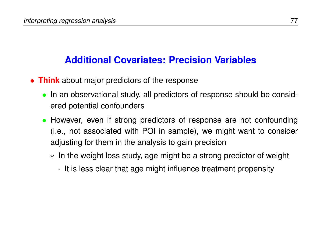## **Additional Covariates: Precision Variables**

- **Think** about major predictors of the response
	- In an observational study, all predictors of response should be considered potential confounders
	- However, even if strong predictors of response are not confounding (i.e., not associated with POI in sample), we might want to consider adjusting for them in the analysis to gain precision
		- ∗ In the weight loss study, age might be a strong predictor of weight
			- · It is less clear that age might influence treatment propensity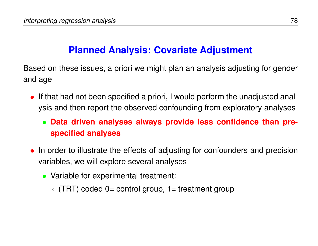## **Planned Analysis: Covariate Adjustment**

Based on these issues, a priori we might plan an analysis adjusting for gender and age

- If that had not been specified a priori, I would perform the unadjusted analysis and then report the observed confounding from exploratory analyses
	- **Data driven analyses always provide less confidence than prespecified analyses**
- In order to illustrate the effects of adjusting for confounders and precision variables, we will explore several analyses
	- Variable for experimental treatment:
		- ∗ (TRT) coded 0= control group, 1= treatment group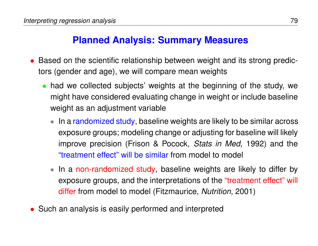## **Planned Analysis: Summary Measures**

- Based on the scientific relationship between weight and its strong predictors (gender and age), we will compare mean weights
	- had we collected subjects' weights at the beginning of the study, we might have considered evaluating change in weight or include baseline weight as an adjustment variable
		- ∗ In a randomized study, baseline weights are likely to be similar across exposure groups; modeling change or adjusting for baseline will likely improve precision (Frison & Pocock, *Stats in Med*, 1992) and the "treatment effect" will be similar from model to model
		- ∗ In a non-randomized study, baseline weights are likely to differ by exposure groups, and the interpretations of the "treatment effect" will differ from model to model (Fitzmaurice, *Nutrition*, 2001)
- Such an analysis is easily performed and interpreted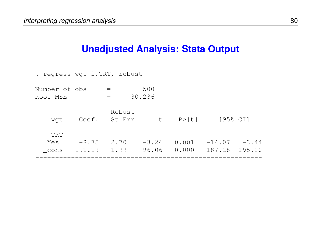## **Unadjusted Analysis: Stata Output**

| . regress wgt i.TRT, robust |                     |                  |                  |                |                          |        |
|-----------------------------|---------------------|------------------|------------------|----------------|--------------------------|--------|
| Number of obs<br>Root MSE   |                     |                  | 500<br>30.236    |                |                          |        |
| wqt                         | Coef.               | Robust<br>St Err | <b>t</b>         |                | $P >  t $ [95% CI]       |        |
| TRT<br>Yes<br>cons          | $-8.75$<br>1 191.19 | 2.70<br>1.99     | $-3.24$<br>96.06 | 0.001<br>0.000 | $-14.07 -3.44$<br>187.28 | 195.10 |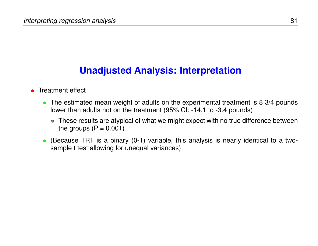## **Unadjusted Analysis: Interpretation**

### • Treatment effect

- The estimated mean weight of adults on the experimental treatment is 8 3/4 pounds lower than adults not on the treatment (95% CI: -14.1 to -3.4 pounds)
	- ∗ These results are atypical of what we might expect with no true difference between the groups  $(P = 0.001)$
- (Because TRT is a binary (0-1) variable, this analysis is nearly identical to a twosample t test allowing for unequal variances)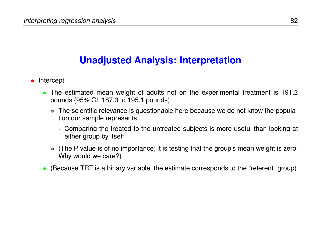## **Unadjusted Analysis: Interpretation**

- Intercept
	- The estimated mean weight of adults not on the experimental treatment is 191.2 pounds (95% CI: 187.3 to 195.1 pounds)
		- ∗ The scientific relevance is questionable here because we do not know the population our sample represents
			- · Comparing the treated to the untreated subjects is more useful than looking at either group by itself
		- ∗ (The P value is of no importance; it is testing that the group's mean weight is zero. Why would we care?)
	- (Because TRT is a binary variable, the estimate corresponds to the "referent" group)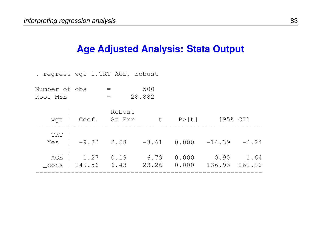## **Age Adjusted Analysis: Stata Output**

. regress wgt i.TRT AGE, robust

Number of obs = 500 Root MSE = 28.882

|       |                 | Robust       |       |                                |               |           |
|-------|-----------------|--------------|-------|--------------------------------|---------------|-----------|
| wgt   |                 | Coef. St Err |       | t P> t  [95% CI]               |               |           |
|       |                 |              |       |                                |               |           |
| TRT   |                 |              |       |                                |               |           |
| Yes   | $1 - 9.32 2.58$ |              |       | $-3.61$ 0.000 $-14.39$ $-4.24$ |               |           |
|       |                 |              |       |                                |               |           |
| AGE I | 1.27            | 0.19         | 6.79  | 0.000                          |               | 0.90 1.64 |
| cons  | 149.56          | 6.43         | 23.26 | 0.000                          | 136.93 162.20 |           |
|       |                 |              |       |                                |               |           |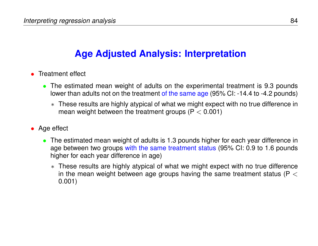# **Age Adjusted Analysis: Interpretation**

- Treatment effect
	- The estimated mean weight of adults on the experimental treatment is 9.3 pounds lower than adults not on the treatment of the same age (95% CI: -14.4 to -4.2 pounds)
		- ∗ These results are highly atypical of what we might expect with no true difference in mean weight between the treatment groups ( $P < 0.001$ )
- Age effect
	- The estimated mean weight of adults is 1.3 pounds higher for each year difference in age between two groups with the same treatment status (95% CI: 0.9 to 1.6 pounds higher for each year difference in age)
		- ∗ These results are highly atypical of what we might expect with no true difference in the mean weight between age groups having the same treatment status ( $P <$ 0.001)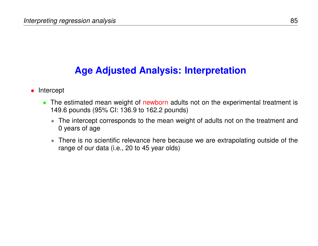## **Age Adjusted Analysis: Interpretation**

#### • Intercept

- The estimated mean weight of newborn adults not on the experimental treatment is 149.6 pounds (95% CI: 136.9 to 162.2 pounds)
	- ∗ The intercept corresponds to the mean weight of adults not on the treatment and 0 years of age
	- ∗ There is no scientific relevance here because we are extrapolating outside of the range of our data (i.e., 20 to 45 year olds)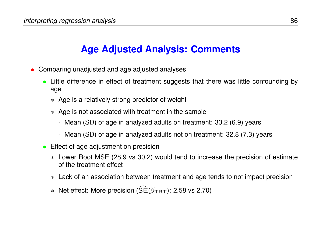# **Age Adjusted Analysis: Comments**

- Comparing unadjusted and age adjusted analyses
	- Little difference in effect of treatment suggests that there was little confounding by age
		- ∗ Age is a relatively strong predictor of weight
		- ∗ Age is not associated with treatment in the sample
			- · Mean (SD) of age in analyzed adults on treatment: 33.2 (6.9) years
			- · Mean (SD) of age in analyzed adults not on treatment: 32.8 (7.3) years
	- Effect of age adjustment on precision
		- ∗ Lower Root MSE (28.9 vs 30.2) would tend to increase the precision of estimate of the treatment effect
		- ∗ Lack of an association between treatment and age tends to not impact precision
		- $\ast$  Net effect: More precision ( $\widehat{SE}(\widehat{\beta}_{TRT})$ : 2.58 vs 2.70)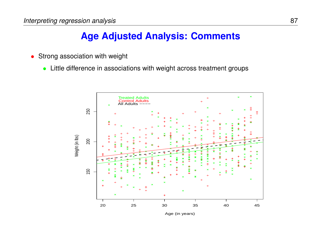## **Age Adjusted Analysis: Comments**

- Strong association with weight
	- Little difference in associations with weight across treatment groups



Age (in years)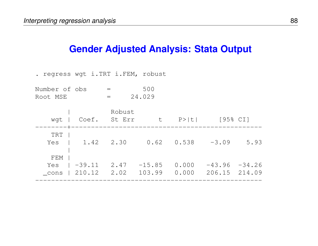## **Gender Adjusted Analysis: Stata Output**

. regress wgt i.TRT i.FEM, robust

Number of obs = 500 Root MSE = 24.029

| wgt          | Coef.                      | Robust<br>St Err | t                  | P >  t         | [95% CI] |                                  |
|--------------|----------------------------|------------------|--------------------|----------------|----------|----------------------------------|
| TRT<br>Yes l | 1.42 2.30                  |                  |                    | $0.62$ $0.538$ | $-3.09$  | 5.93                             |
| FEM<br>Yes   | $ -39.11$<br>cons   210.12 | 2.47<br>2.02     | $-15.85$<br>103.99 | 0.000<br>0.000 |          | $-43.96 -34.26$<br>206.15 214.09 |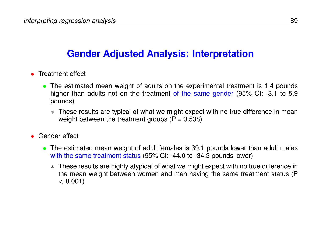## **Gender Adjusted Analysis: Interpretation**

- Treatment effect
	- The estimated mean weight of adults on the experimental treatment is 1.4 pounds higher than adults not on the treatment of the same gender (95% CI: -3.1 to 5.9 pounds)
		- ∗ These results are typical of what we might expect with no true difference in mean weight between the treatment groups  $(P = 0.538)$
- Gender effect
	- The estimated mean weight of adult females is 39.1 pounds lower than adult males with the same treatment status (95% CI: -44.0 to -34.3 pounds lower)
		- ∗ These results are highly atypical of what we might expect with no true difference in the mean weight between women and men having the same treatment status (P  $< 0.001$ )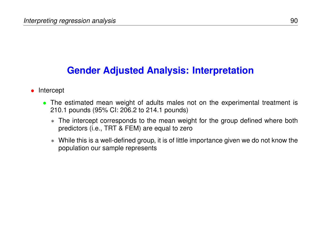## **Gender Adjusted Analysis: Interpretation**

- Intercept
	- The estimated mean weight of adults males not on the experimental treatment is 210.1 pounds (95% CI: 206.2 to 214.1 pounds)
		- ∗ The intercept corresponds to the mean weight for the group defined where both predictors (i.e., TRT & FEM) are equal to zero
		- ∗ While this is a well-defined group, it is of little importance given we do not know the population our sample represents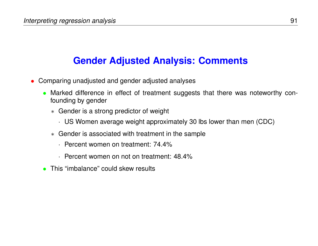## **Gender Adjusted Analysis: Comments**

- Comparing unadjusted and gender adjusted analyses
	- Marked difference in effect of treatment suggests that there was noteworthy confounding by gender
		- ∗ Gender is a strong predictor of weight
			- · US Women average weight approximately 30 lbs lower than men (CDC)
		- ∗ Gender is associated with treatment in the sample
			- · Percent women on treatment: 74.4%
			- · Percent women on not on treatment: 48.4%
	- This "imbalance" could skew results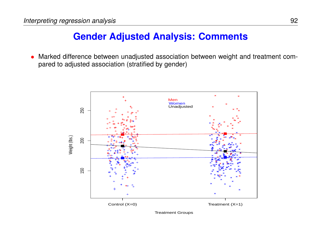## **Gender Adjusted Analysis: Comments**

• Marked difference between unadjusted association between weight and treatment compared to adjusted association (stratified by gender)



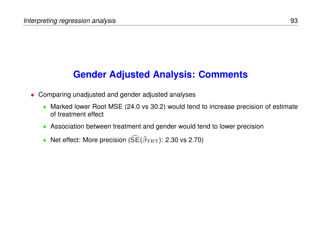## **Gender Adjusted Analysis: Comments**

- Comparing unadjusted and gender adjusted analyses
	- Marked lower Root MSE (24.0 vs 30.2) would tend to increase precision of estimate of treatment effect
	- Association between treatment and gender would tend to lower precision
	- Net effect: More precision ( $\widehat{SE}(\widehat{\beta}_{TRT})$ : 2.30 vs 2.70)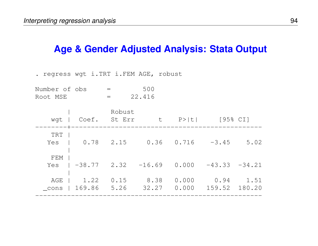## **Age & Gender Adjusted Analysis: Stata Output**

. regress wgt i.TRT i.FEM AGE, robust

Number of obs = 500 Root MSE = 22.416

| wgt         | Coef.          | Robust<br>St Err | t             | P >  t         | [95% CI]              |                       |
|-------------|----------------|------------------|---------------|----------------|-----------------------|-----------------------|
| TRT<br>Yes  | 0.78           | 2.15             | 0.36          | 0.716          | $-3.45$               | 5.02                  |
| FEM<br>Yes  | $ -38.77$ 2.32 |                  | $-16.69$      |                | $0.000 -43.33 -34.21$ |                       |
| AGE<br>cons | 1.22<br>169.86 | 0.15<br>5.26     | 8.38<br>32.27 | 0.000<br>0.000 | 0.94                  | 1.51<br>159.52 180.20 |
|             |                |                  |               |                |                       |                       |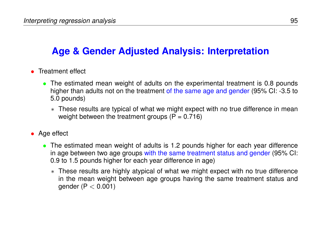## **Age & Gender Adjusted Analysis: Interpretation**

- Treatment effect
	- The estimated mean weight of adults on the experimental treatment is 0.8 pounds higher than adults not on the treatment of the same age and gender (95% CI: -3.5 to 5.0 pounds)
		- ∗ These results are typical of what we might expect with no true difference in mean weight between the treatment groups  $(P = 0.716)$
- Age effect
	- The estimated mean weight of adults is 1.2 pounds higher for each year difference in age between two age groups with the same treatment status and gender (95% CI: 0.9 to 1.5 pounds higher for each year difference in age)
		- ∗ These results are highly atypical of what we might expect with no true difference in the mean weight between age groups having the same treatment status and gender ( $P < 0.001$ )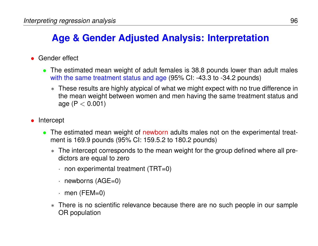# **Age & Gender Adjusted Analysis: Interpretation**

- Gender effect
	- The estimated mean weight of adult females is 38.8 pounds lower than adult males with the same treatment status and age (95% CI: -43.3 to -34.2 pounds)
		- ∗ These results are highly atypical of what we might expect with no true difference in the mean weight between women and men having the same treatment status and age ( $P < 0.001$ )
- Intercept
	- The estimated mean weight of newborn adults males not on the experimental treatment is 169.9 pounds (95% CI: 159.5.2 to 180.2 pounds)
		- ∗ The intercept corresponds to the mean weight for the group defined where all predictors are equal to zero
			- $\cdot$  non experimental treatment (TRT=0)
			- · newborns (AGE=0)
			- $\cdot$  men (FEM=0)
		- ∗ There is no scientific relevance because there are no such people in our sample OR population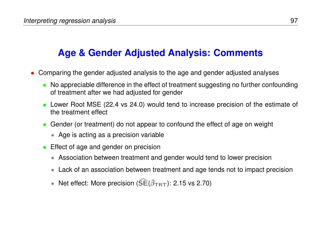## **Age & Gender Adjusted Analysis: Comments**

- Comparing the gender adjusted analysis to the age and gender adjusted analyses
	- No appreciable difference in the effect of treatment suggesting no further confounding of treatment after we had adjusted for gender
	- Lower Root MSE (22.4 vs 24.0) would tend to increase precision of the estimate of the treatment effect
	- Gender (or treatment) do not appear to confound the effect of age on weight
		- ∗ Age is acting as a precision variable
	- Effect of age and gender on precision
		- ∗ Association between treatment and gender would tend to lower precision
		- ∗ Lack of an association between treatment and age tends not to impact precision
		- $\ast$  Net effect: More precision ( $SE(\hat{\beta}_{TRT})$ : 2.15 vs 2.70)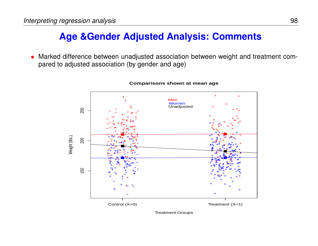# **Age &Gender Adjusted Analysis: Comments**

• Marked difference between unadjusted association between weight and treatment compared to adjusted association (by gender and age)



#### **Comparisons shown at mean age**

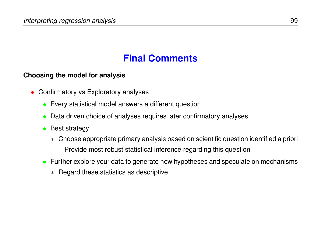# **Final Comments**

### **Choosing the model for analysis**

- Confirmatory vs Exploratory analyses
	- Every statistical model answers a different question
	- Data driven choice of analyses requires later confirmatory analyses
	- Best strategy
		- ∗ Choose appropriate primary analysis based on scientific question identified a priori
			- · Provide most robust statistical inference regarding this question
	- Further explore your data to generate new hypotheses and speculate on mechanisms
		- ∗ Regard these statistics as descriptive